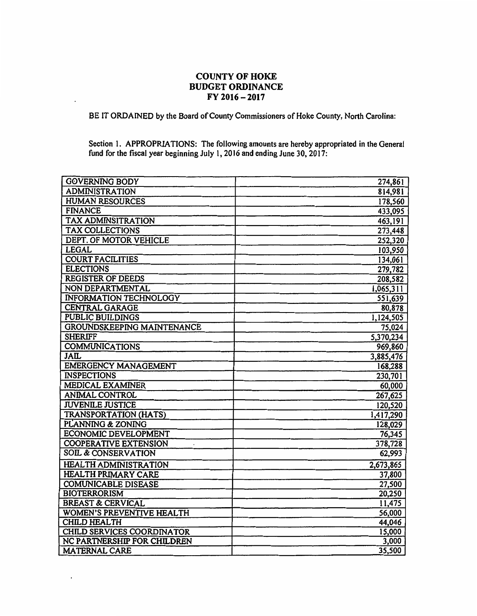## **COUNTY OF HOKE BUDGET ORDINANCE FY 2016-2017**

BE IT ORDAINED by the Board of County Commissioners of Hoke County, North Carolina:

Section 1. APPROPRIATIONS: The following amounts are hereby appropriated in the General fund for the fiscal year beginning July 1, 2016 and ending June 30, 2017:

| <b>GOVERNING BODY</b>            |                    |
|----------------------------------|--------------------|
| <b>ADMINISTRATION</b>            | 274,861<br>814,981 |
| <b>HUMAN RESOURCES</b>           | 178,560            |
| <b>FINANCE</b>                   | 433,095            |
| <b>TAX ADMINSITRATION</b>        | 463,191            |
| <b>TAX COLLECTIONS</b>           | 273,448            |
| DEPT. OF MOTOR VEHICLE           | 252,320            |
| <b>LEGAL</b>                     | 103,950            |
| <b>COURT FACILITIES</b>          | 134,061            |
| <b>ELECTIONS</b>                 | 279,782            |
| <b>REGISTER OF DEEDS</b>         | 208,582            |
| NON DEPARTMENTAL                 | 1,065,311          |
| INFORMATION TECHNOLOGY           | 551,639            |
| <b>CENTRAL GARAGE</b>            | 80,878             |
| <b>PUBLIC BUILDINGS</b>          | 1,124,505          |
| GROUNDSKEEPING MAINTENANCE       | 75,024             |
| <b>SHERIFF</b>                   | 5,370,234          |
| <b>COMMUNICATIONS</b>            | 969,860            |
| <b>JAIL</b>                      | 3,885,476          |
| <b>EMERGENCY MANAGEMENT</b>      | 168,288            |
| <b>INSPECTIONS</b>               | 230,701            |
| MEDICAL EXAMINER                 | 60,000             |
| ANIMAL CONTROL                   | 267,625            |
| <b>JUVENILE JUSTICE</b>          | 120,520            |
| <b>TRANSPORTATION (HATS)</b>     | 1,417,290          |
| PLANNING & ZONING                | 128,029            |
| <b>ECONOMIC DEVELOPMENT</b>      | 76,345             |
| <b>COOPERATIVE EXTENSION</b>     | 378,728            |
| <b>SOIL &amp; CONSERVATION</b>   | 62,993             |
| <b>HEALTH ADMINISTRATION</b>     | 2,673,865          |
| <b>HEALTH PRIMARY CARE</b>       | 37,800             |
| <b>COMUNICABLE DISEASE</b>       | 27,500             |
| <b>BIOTERRORISM</b>              | 20,250             |
| <b>BREAST &amp; CERVICAL</b>     | 11,475             |
| <b>WOMEN'S PREVENTIVE HEALTH</b> | 56,000             |
| <b>CHILD HEALTH</b>              | 44,046             |
| CHILD SERVICES COORDINATOR       | 15,000             |
| NC PARTNERSHIP FOR CHILDREN      | 3,000              |
| <b>MATERNAL CARE</b>             | 35,500             |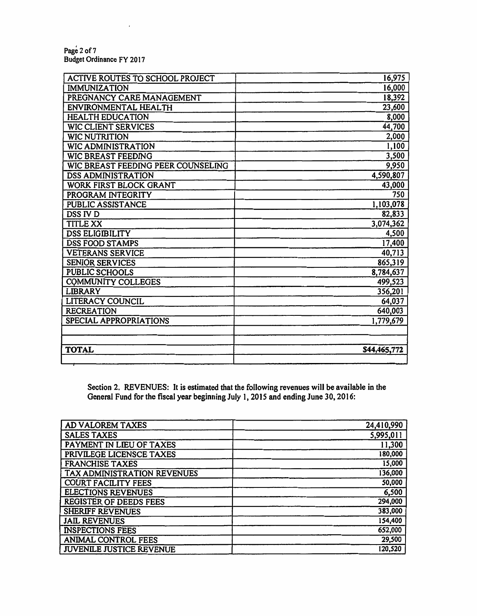Page2 of7 Budget Ordinance FY 2017

| ACTIVE ROUTES TO SCHOOL PROJECT    | 16,975       |
|------------------------------------|--------------|
| <b>IMMUNIZATION</b>                | 16,000       |
| PREGNANCY CARE MANAGEMENT          | 18,392       |
| ENVIRONMENTAL HEALTH               | 23,600       |
| <b>HEALTH EDUCATION</b>            | 8,000        |
| <b>WIC CLIENT SERVICES</b>         | 44,700       |
| <b>WIC NUTRITION</b>               | 2,000        |
| <b>WIC ADMINISTRATION</b>          | 1,100        |
| WIC BREAST FEEDING                 | 3,500        |
| WIC BREAST FEEDING PEER COUNSELING | 9,950        |
| <b>DSS ADMINISTRATION</b>          | 4,590,807    |
| WORK FIRST BLOCK GRANT             | 43,000       |
| PROGRAM INTEGRITY                  | 750          |
| PUBLIC ASSISTANCE                  | 1,103,078    |
| <b>DSS IV D</b>                    | 82,833       |
| <b>TITLE XX</b>                    | 3,074,362    |
| <b>DSS ELIGIBILITY</b>             | 4,500        |
| <b>DSS FOOD STAMPS</b>             | 17,400       |
| <b>VETERANS SERVICE</b>            | 40,713       |
| <b>SENIOR SERVICES</b>             | 865,319      |
| PUBLIC SCHOOLS                     | 8,784,637    |
| <b>COMMUNITY COLLEGES</b>          | 499,523      |
| <b>LIBRARY</b>                     | 356,201      |
| LITERACY COUNCIL                   | 64,037       |
| <b>RECREATION</b>                  | 640,003      |
| SPECIAL APPROPRIATIONS             | 1,779,679    |
|                                    |              |
|                                    |              |
| <b>TOTAL</b>                       | \$44,465,772 |
|                                    |              |

Section 2. REVENUES: It is estimated that the following revenues will be available in the General Fund for the fiscal year beginning July 1, 2015 and ending June 30, 2016:

| AD VALOREM TAXES            | 24,410,990 |
|-----------------------------|------------|
| <b>SALES TAXES</b>          | 5,995,011  |
| PAYMENT IN LIEU OF TAXES    | 11,300     |
| PRIVILEGE LICENSCE TAXES    | 180,000    |
| <b>FRANCHISE TAXES</b>      | 15,000     |
| TAX ADMINISTRATION REVENUES | 136,000    |
| <b>COURT FACILITY FEES</b>  | 50,000     |
| <b>ELECTIONS REVENUES</b>   | 6,500      |
| REGISTER OF DEEDS FEES      | 294,000    |
| SHERIFF REVENUES            | 383,000    |
| <b>JAIL REVENUES</b>        | 154,400    |
| <b>INSPECTIONS FEES</b>     | 652,000    |
| ANIMAL CONTROL FEES         | 29,500     |
| JUVENILE JUSTICE REVENUE    | 120,520    |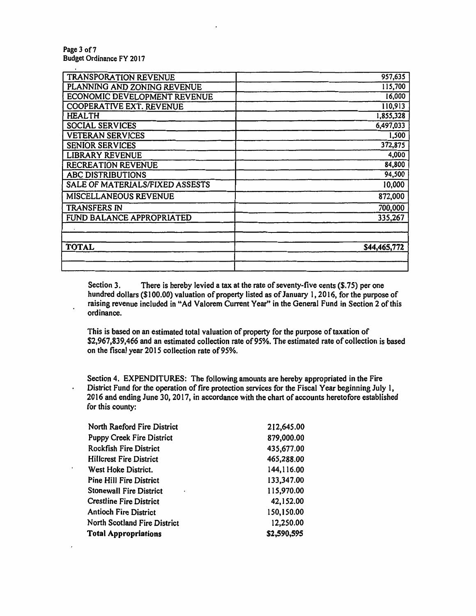Page 3 of 7 Budget Ordinance FY 2017

 $\cdot$ 

| <b>TRANSPORATION REVENUE</b>    | 957,635      |
|---------------------------------|--------------|
| PLANNING AND ZONING REVENUE     | 115,700      |
| ECONOMIC DEVELOPMENT REVENUE    | 16,000       |
| <b>COOPERATIVE EXT. REVENUE</b> | 110,913      |
| HEALTH                          | 1,855,328    |
| <b>SOCIAL SERVICES</b>          | 6,497,033    |
| <b>VETERAN SERVICES</b>         | 1,500        |
| <b>SENIOR SERVICES</b>          | 372,875      |
| <b>LIBRARY REVENUE</b>          | 4,000        |
| <b>RECREATION REVENUE</b>       | 84,800       |
| <b>ABC DISTRIBUTIONS</b>        | 94,500       |
| SALE OF MATERIALS/FIXED ASSESTS | 10,000       |
| MISCELLANEOUS REVENUE           | 872,000      |
| TRANSFERS IN                    | 700,000      |
| FUND BALANCE APPROPRIATED       | 335,267      |
|                                 |              |
|                                 |              |
| <b>TOTAL</b>                    | \$44,465,772 |
|                                 |              |
|                                 |              |

Section 3. There is hereby levied a tax at the rate of seventy-five cents  $(1, 75)$  per one hundred dollars (\$100.00) valuation of property listed as of January 1, 2016, for the purpose of raising revenue included in "Ad Valorem Current Year" in the General Fund in Section 2 of this ordinance.

This is based on an estimated total valuation of property for the purpose of taxation of \$2,967,839,466 and an estimated collection rate of 95%. The estimated rate of collection is based on the fiscal year 2015 collection rate of95%.

Section 4. EXPENDITURES: The following amounts are hereby appropriated in the Fire District Fund for the operation of fire protection services for the Fiscal Year beginning July I, 2016 and ending June 30, 2017, in accordance with the chart of accounts heretofore established for this county:

| North Raeford Fire District      | 212,645.00  |
|----------------------------------|-------------|
| <b>Puppy Creek Fire District</b> | 879,000.00  |
| <b>Rockfish Fire District</b>    | 435,677.00  |
| <b>Hillcrest Fire District</b>   | 465,288.00  |
| West Hoke District.              | 144,116.00  |
| <b>Pine Hill Fire District</b>   | 133,347.00  |
| <b>Stonewall Fire District</b>   | 115,970.00  |
| <b>Crestline Fire District</b>   | 42,152.00   |
| <b>Antioch Fire District</b>     | 150,150.00  |
| North Scotland Fire District     | 12,250.00   |
| <b>Total Appropriations</b>      | \$2,590,595 |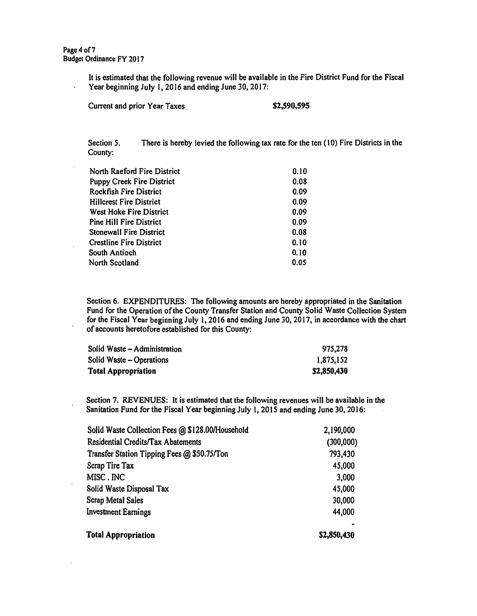It is estimated that the following revenue will be available in the Fire District Fund for the Fiscal Year beginning July l, 2016 and ending June 30, 2017:

| Current and prior Year Taxes | \$2,590,595 |
|------------------------------|-------------|
|------------------------------|-------------|

Section 5. County: There is hereby levied the following tax rate for the ten (10) Fire Districts in the

| North Raeford Fire District      | 0.10 |
|----------------------------------|------|
| <b>Puppy Creek Fire District</b> | 0.08 |
| <b>Rockfish Fire District</b>    | 0.09 |
| <b>Hillcrest Fire District</b>   | 0.09 |
| West Hoke Fire District          | 0.09 |
| <b>Pine Hill Fire District</b>   | 0.09 |
| <b>Stonewall Fire District</b>   | 0.08 |
| <b>Crestline Fire District</b>   | 0.10 |
| South Antioch                    | 0.10 |
| North Scotland                   | 0.05 |

Section 6. EXPENDITURES: The following amounts are hereby appropriated in the Sanitation Fund for the Operation of the County Transfer Station and County Solid Waste Collection System for the Fiscal Year beginning July 1, 2016 and ending June 30, 2017, in accordance with the chart of accounts heretofore established for this County:

| Solid Waste - Administration | 975,278     |
|------------------------------|-------------|
| Solid Waste – Operations     | 1,875,152   |
| <b>Total Appropriation</b>   | \$2,850,430 |

Section 7. REVENUES: It is estimated that the following revenues will be available in the Sanitation Fund for the Fiscal Year beginning July I, 2015 and ending June 30, 2016:

| Solid Waste Collection Fees @ \$128.00/Household | 2,190,000   |
|--------------------------------------------------|-------------|
| Residential Credits/Tax Abatements               | (300,000)   |
| Transfer Station Tipping Fees @ \$50.75/Ton      | 793,430     |
| Scrap Tire Tax                                   | 45,000      |
| MISC. INC                                        | 3,000       |
| Solid Waste Disposal Tax                         | 45,000      |
| <b>Scrap Metal Sales</b>                         | 30,000      |
| <b>Investment Earnings</b>                       | 44,000      |
| <b>Total Appropriation</b>                       | \$2,850,430 |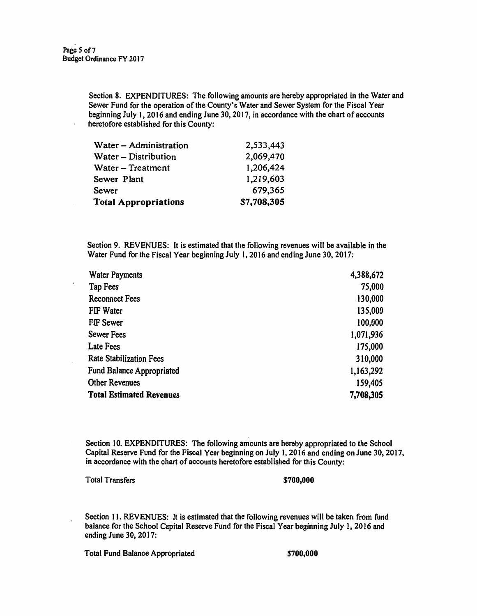$\ddot{\phantom{a}}$ 

Section 8. EXPENDITURES: The following amounts are hereby appropriated in the Water and Sewer Fund for the operation of the County's Water and Sewer System for the Fiscal Year beginning July l, 2016 and ending June 30, 2017, in accordance with the chart of accounts heretofore established for this County:

| Water - Administration      | 2,533,443   |
|-----------------------------|-------------|
| Water - Distribution        | 2,069,470   |
| Water - Treatment           | 1,206,424   |
| Sewer Plant                 | 1,219,603   |
| Sewer                       | 679,365     |
| <b>Total Appropriations</b> | \$7,708,305 |

Section 9. REVENUES: It is estimated that the following revenues will be available in the Water Fund for the Fiscal **Year** beginning July 1, 2016 and ending June 30, 2017:

| <b>Water Payments</b>           | 4,388,672 |
|---------------------------------|-----------|
| <b>Tap Fees</b>                 | 75,000    |
| <b>Reconnect Fees</b>           | 130,000   |
| FIF Water                       | 135,000   |
| FIF Sewer                       | 100,000   |
| <b>Sewer Fees</b>               | 1,071,936 |
| Late Fees                       | 175,000   |
| <b>Rate Stabilization Fees</b>  | 310,000   |
| Fund Balance Appropriated       | 1,163,292 |
| <b>Other Revenues</b>           | 159,405   |
| <b>Total Estimated Revenues</b> | 7,708,305 |

Section 10. EXPENDITURES: The following amounts are hereby appropriated to the School Capital Reserve Fund for the Fiscal Year beginning on July I, 2016 and ending on June 30, 2017, in accordance with the chart of accounts heretofore established for this County:

Total Transfers **\$700,000 \$700,000** 

Section 11. REVENUES: It is estimated that the following revenues will be taken from fund balance for the School Capital Reserve Fund for the Fiscal Year beginning July 1, 2016 and ending June 30, 2017:

Total Fund Balance Appropriated **\$700,000**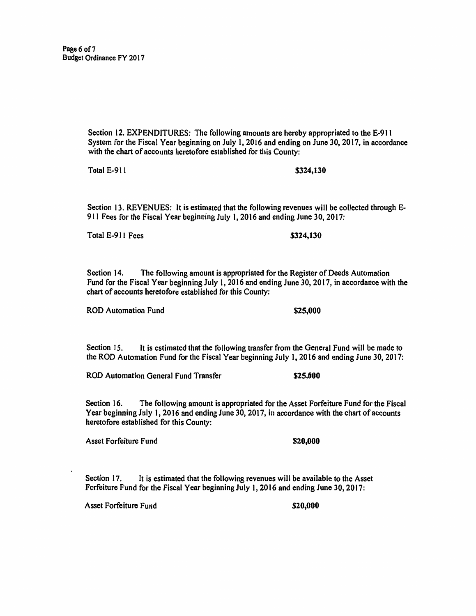Section 12. EXPENDITURES: The following amounts are hereby appropriated to the E·91 l System for the Fiscal Year beginning on July I, 2016 and ending on June 30, 2017, in accordance with the chart of accounts heretofore established for this County:

Total E-911 **\$324,130** 

Section 13. REVENUES: It is estimated that the following revenues will be collected through E-911 Fees for the Fiscal Year beginning July 1, 2016 and ending June 30, 2017:

Total E-911 Fees **\$324,130** 

Section 14. The following amount is appropriated for the Register of Deeds Automation Fund for the Fiscal Year beginning July l, 2016 and ending June 30, 2017, in accordance with the chart of accounts heretofore established for this County:

ROD Automation Fund **\$25,000** 

Section 15. It is estimated that the following transfer from the General Fund will be made to the ROD Automation Fund for the Fiscal Year beginning July 1, 2016 and ending June 30, 2017:

ROD Automation General Fund Transfer **\$25,000** 

Section 16. The following amount is appropriated for the Asset Forfeiture Fund for the Fiscal Year beginning July 1, 2016 and ending June 30, 2017, in accordance with the chart of accounts heretofore established for this County:

Asset Forfeiture Fund **\$20,000 \$20,000** 

Section 17. It is estimated that the following revenues will be available to the Asset Forfeiture Fund for the Fiscal Year beginning July 1, 2016 and ending June 30, 2017:

Asset Forfeiture Fund \$20,000